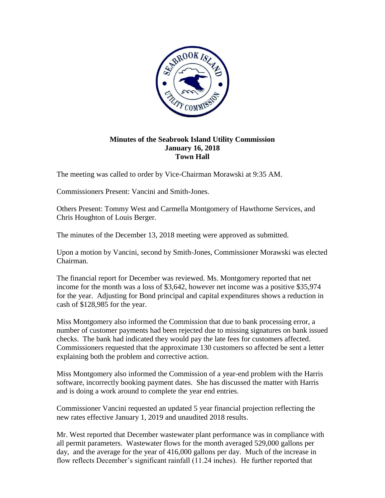

## **Minutes of the Seabrook Island Utility Commission January 16, 2018 Town Hall**

The meeting was called to order by Vice-Chairman Morawski at 9:35 AM.

Commissioners Present: Vancini and Smith-Jones.

Others Present: Tommy West and Carmella Montgomery of Hawthorne Services, and Chris Houghton of Louis Berger.

The minutes of the December 13, 2018 meeting were approved as submitted.

Upon a motion by Vancini, second by Smith-Jones, Commissioner Morawski was elected Chairman.

The financial report for December was reviewed. Ms. Montgomery reported that net income for the month was a loss of \$3,642, however net income was a positive \$35,974 for the year. Adjusting for Bond principal and capital expenditures shows a reduction in cash of \$128,985 for the year.

Miss Montgomery also informed the Commission that due to bank processing error, a number of customer payments had been rejected due to missing signatures on bank issued checks. The bank had indicated they would pay the late fees for customers affected. Commissioners requested that the approximate 130 customers so affected be sent a letter explaining both the problem and corrective action.

Miss Montgomery also informed the Commission of a year-end problem with the Harris software, incorrectly booking payment dates. She has discussed the matter with Harris and is doing a work around to complete the year end entries.

Commissioner Vancini requested an updated 5 year financial projection reflecting the new rates effective January 1, 2019 and unaudited 2018 results.

Mr. West reported that December wastewater plant performance was in compliance with all permit parameters. Wastewater flows for the month averaged 529,000 gallons per day, and the average for the year of 416,000 gallons per day. Much of the increase in flow reflects December's significant rainfall (11.24 inches). He further reported that